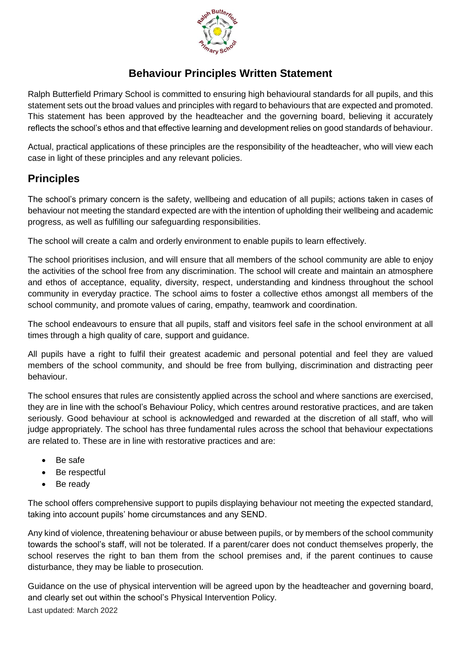

## **Behaviour Principles Written Statement**

Ralph Butterfield Primary School is committed to ensuring high behavioural standards for all pupils, and this statement sets out the broad values and principles with regard to behaviours that are expected and promoted. This statement has been approved by the headteacher and the governing board, believing it accurately reflects the school's ethos and that effective learning and development relies on good standards of behaviour.

Actual, practical applications of these principles are the responsibility of the headteacher, who will view each case in light of these principles and any relevant policies.

## **Principles**

The school's primary concern is the safety, wellbeing and education of all pupils; actions taken in cases of behaviour not meeting the standard expected are with the intention of upholding their wellbeing and academic progress, as well as fulfilling our safeguarding responsibilities.

The school will create a calm and orderly environment to enable pupils to learn effectively.

The school prioritises inclusion, and will ensure that all members of the school community are able to enjoy the activities of the school free from any discrimination. The school will create and maintain an atmosphere and ethos of acceptance, equality, diversity, respect, understanding and kindness throughout the school community in everyday practice. The school aims to foster a collective ethos amongst all members of the school community, and promote values of caring, empathy, teamwork and coordination.

The school endeavours to ensure that all pupils, staff and visitors feel safe in the school environment at all times through a high quality of care, support and guidance.

All pupils have a right to fulfil their greatest academic and personal potential and feel they are valued members of the school community, and should be free from bullying, discrimination and distracting peer behaviour.

The school ensures that rules are consistently applied across the school and where sanctions are exercised, they are in line with the school's Behaviour Policy, which centres around restorative practices, and are taken seriously. Good behaviour at school is acknowledged and rewarded at the discretion of all staff, who will judge appropriately. The school has three fundamental rules across the school that behaviour expectations are related to. These are in line with restorative practices and are:

- Be safe
- Be respectful
- Be ready

The school offers comprehensive support to pupils displaying behaviour not meeting the expected standard, taking into account pupils' home circumstances and any SEND.

Any kind of violence, threatening behaviour or abuse between pupils, or by members of the school community towards the school's staff, will not be tolerated. If a parent/carer does not conduct themselves properly, the school reserves the right to ban them from the school premises and, if the parent continues to cause disturbance, they may be liable to prosecution.

Last updated: March 2022 Guidance on the use of physical intervention will be agreed upon by the headteacher and governing board, and clearly set out within the school's Physical Intervention Policy.